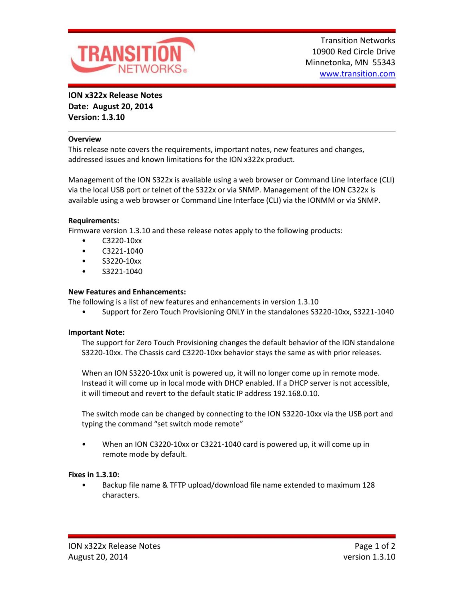

**ION x322x Release Notes Date: August 20, 2014 Version: 1.3.10**

#### **Overview**

This release note covers the requirements, important notes, new features and changes, addressed issues and known limitations for the ION x322x product.

Management of the ION S322x is available using a web browser or Command Line Interface (CLI) via the local USB port or telnet of the S322x or via SNMP. Management of the ION C322x is available using a web browser or Command Line Interface (CLI) via the IONMM or via SNMP.

#### **Requirements:**

Firmware version 1.3.10 and these release notes apply to the following products:

- C3220-10xx
- C3221-1040
- S3220-10xx
- S3221-1040

# **New Features and Enhancements:**

The following is a list of new features and enhancements in version 1.3.10

• Support for Zero Touch Provisioning ONLY in the standalones S3220-10xx, S3221-1040

#### **Important Note:**

The support for Zero Touch Provisioning changes the default behavior of the ION standalone S3220-10xx. The Chassis card C3220-10xx behavior stays the same as with prior releases.

When an ION S3220-10xx unit is powered up, it will no longer come up in remote mode. Instead it will come up in local mode with DHCP enabled. If a DHCP server is not accessible, it will timeout and revert to the default static IP address 192.168.0.10.

The switch mode can be changed by connecting to the ION S3220-10xx via the USB port and typing the command "set switch mode remote"

• When an ION C3220-10xx or C3221-1040 card is powered up, it will come up in remote mode by default.

#### **Fixes in 1.3.10:**

• Backup file name & TFTP upload/download file name extended to maximum 128 characters.